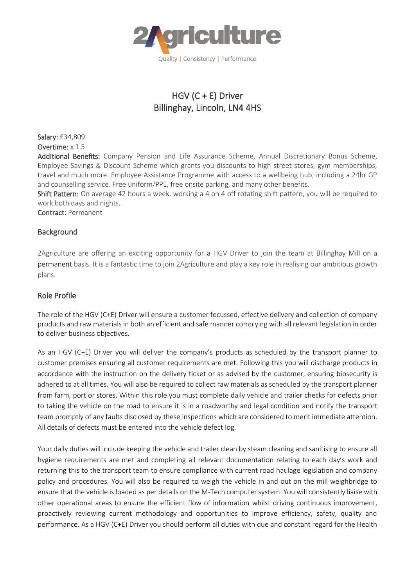

# HGV (C + E) Driver Billinghay, Lincoln, LN4 4HS

Salary: £34,809 Overtime: x 1.5

Additional Benefits: Company Pension and Life Assurance Scheme, Annual Discretionary Bonus Scheme, Employee Savings & Discount Scheme which grants you discounts to high street stores, gym memberships, travel and much more. Employee Assistance Programme with access to a wellbeing hub, including a 24hr GP and counselling service. Free uniform/PPE, free onsite parking, and many other benefits.

Shift Pattern: On average 42 hours a week, working a 4 on 4 off rotating shift pattern, you will be required to work both days and nights.

Contract: Permanent

## Background

2Agriculture are offering an exciting opportunity for a HGV Driver to join the team at Billinghay Mill on a permanent basis. It is a fantastic time to join 2Agriculture and play a key role in realising our ambitious growth plans.

#### Role Profile

The role of the HGV (C+E) Driver will ensure a customer focussed, effective delivery and collection of company products and raw materials in both an efficient and safe manner complying with all relevant legislation in order to deliver business objectives.

As an HGV (C+E) Driver you will deliver the company's products as scheduled by the transport planner to customer premises ensuring all customer requirements are met. Following this you will discharge products in accordance with the instruction on the delivery ticket or as advised by the customer, ensuring biosecurity is adhered to at all times. You will also be required to collect raw materials as scheduled by the transport planner from farm, port or stores. Within this role you must complete daily vehicle and trailer checks for defects prior to taking the vehicle on the road to ensure it is in a roadworthy and legal condition and notify the transport team promptly of any faults disclosed by these inspections which are considered to merit immediate attention. All details of defects must be entered into the vehicle defect log.

Your daily duties will include keeping the vehicle and trailer clean by steam cleaning and sanitising to ensure all hygiene requirements are met and completing all relevant documentation relating to each day's work and returning this to the transport team to ensure compliance with current road haulage legislation and company policy and procedures. You will also be required to weigh the vehicle in and out on the mill weighbridge to ensure that the vehicle is loaded as per details on the M-Tech computer system. You will consistently liaise with other operational areas to ensure the efficient flow of information whilst driving continuous improvement, proactively reviewing current methodology and opportunities to improve efficiency, safety, quality and performance. As a HGV (C+E) Driver you should perform all duties with due and constant regard for the Health